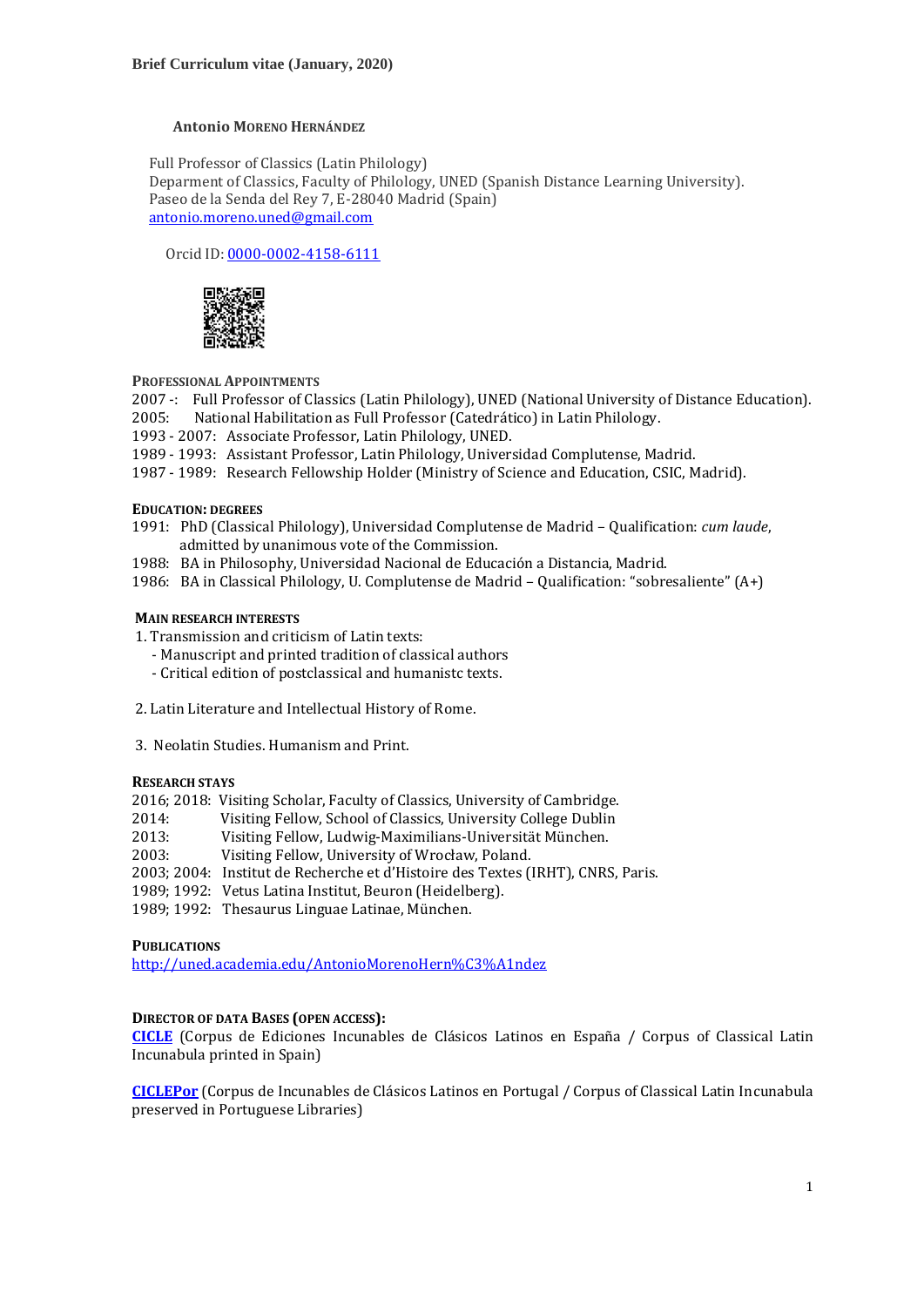# **Antonio MORENO HERNÁNDEZ**

 Full Professor of Classics (Latin Philology) Deparment of Classics, Faculty of Philology, UNED (Spanish Distance Learning University). Paseo de la Senda del Rey 7, E-28040 Madrid (Spain) [antonio.moreno.uned@gmail.com](mailto:antonio.moreno.uned@gmail.com) 

Orcid ID: [0000-0002-4158-6111](http://orcid.org/0000-0002-4158-6111)



**PROFESSIONAL APPOINTMENTS**

2007 -: Full Professor of Classics (Latin Philology), UNED (National University of Distance Education).

2005: National Habilitation as Full Professor (Catedrático) in Latin Philology.

1993 - 2007: Associate Professor, Latin Philology, UNED.

- 1989 1993: Assistant Professor, Latin Philology, Universidad Complutense, Madrid.
- 1987 1989: Research Fellowship Holder (Ministry of Science and Education, CSIC, Madrid).

#### **EDUCATION: DEGREES**

- 1991: PhD (Classical Philology), Universidad Complutense de Madrid Qualification: *cum laude*, admitted by unanimous vote of the Commission.
- 1988: BA in Philosophy, Universidad Nacional de Educación a Distancia, Madrid.
- 1986: BA in Classical Philology, U. Complutense de Madrid Qualification: "sobresaliente" (A+)

### **MAIN RESEARCH INTERESTS**

1. Transmission and criticism of Latin texts:

- Manuscript and printed tradition of classical authors
- Critical edition of postclassical and humanistc texts.
- 2. Latin Literature and Intellectual History of Rome.
- 3. Neolatin Studies. Humanism and Print.

#### **RESEARCH STAYS**

2016; 2018: Visiting Scholar, Faculty of Classics, University of Cambridge.

2014: Visiting Fellow, School of Classics, University College Dublin

- 2013: Visiting Fellow, Ludwig-Maximilians-Universität München.
- 2003: Visiting Fellow, University of Wrocław, Poland.
- 2003; 2004: Institut de Recherche et d'Histoire des Textes (IRHT), CNRS, Paris.

1989; 1992: Vetus Latina Institut, Beuron (Heidelberg).

1989; 1992: Thesaurus Linguae Latinae, München.

# **PUBLICATIONS**

<http://uned.academia.edu/AntonioMorenoHern%C3%A1ndez>

# **DIRECTOR OF DATA BASES (OPEN ACCESS):**

**[CICLE](http://www.incunabula.uned.es/cicle.php?reset=1)** (Corpus de Ediciones Incunables de Clásicos Latinos en España / Corpus of Classical Latin Incunabula printed in Spain)

**[CICLEPor](http://www.incunabula.uned.es/ciclPor.php)** (Corpus de Incunables de Clásicos Latinos en Portugal / Corpus of Classical Latin Incunabula preserved in Portuguese Libraries)